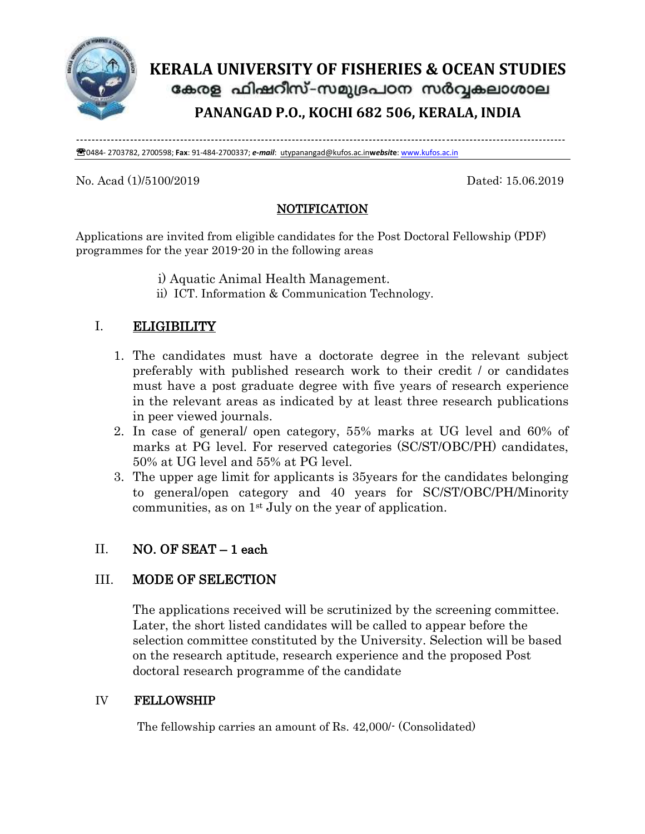

# **KERALA UNIVERSITY OF FISHERIES & OCEAN STUDIES** കേരള ഫിഷറീസ്–സമുദ്രപഠന സർവ്വകലാശാല **PANANGAD P.O., KOCHI 682 506, KERALA, INDIA**

------------------------------------------------------------------------------------------------------------------------------- 0484- 2703782, 2700598; **Fax**: 91-484-2700337; *e-mail*: [utypanangad@kufos.ac.in](mailto:utypanangad@kufos.ac.in)**w***ebsit***e**[: www.kufos.ac.in](http://www.kufos.ac.in/)

#### No. Acad (1)/5100/2019 Dated: 15.06.2019

## NOTIFICATION

Applications are invited from eligible candidates for the Post Doctoral Fellowship (PDF) programmes for the year 2019-20 in the following areas

- i) Aquatic Animal Health Management.
- ii) ICT. Information & Communication Technology.

## I. ELIGIBILITY

- 1. The candidates must have a doctorate degree in the relevant subject preferably with published research work to their credit / or candidates must have a post graduate degree with five years of research experience in the relevant areas as indicated by at least three research publications in peer viewed journals.
- 2. In case of general/ open category, 55% marks at UG level and 60% of marks at PG level. For reserved categories (SC/ST/OBC/PH) candidates, 50% at UG level and 55% at PG level.
- 3. The upper age limit for applicants is 35years for the candidates belonging to general/open category and 40 years for SC/ST/OBC/PH/Minority communities, as on  $1<sup>st</sup>$  July on the year of application.

### II. NO. OF SEAT – 1 each

### III. MODE OF SELECTION

The applications received will be scrutinized by the screening committee. Later, the short listed candidates will be called to appear before the selection committee constituted by the University. Selection will be based on the research aptitude, research experience and the proposed Post doctoral research programme of the candidate

### IV FELLOWSHIP

The fellowship carries an amount of Rs. 42,000/- (Consolidated)